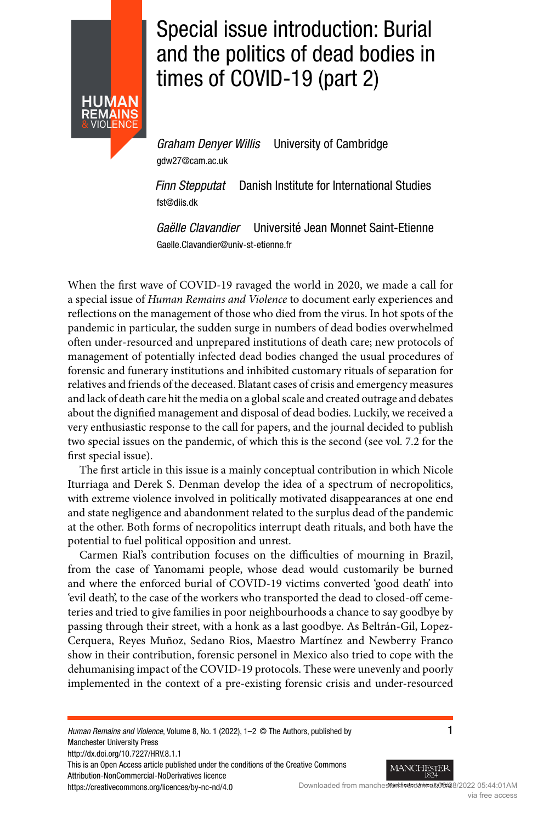<span id="page-0-0"></span>

## Special issue introduction: Burial and the politics of dead bodies in times of COVID-19 (part 2)

Graham Denyer Willis University of Cambridge gdw27@cam.ac.uk

Finn Stepputat Danish Institute for International Studies fst@diis.dk

Gaëlle Clavandier Université Jean Monnet Saint-Etienne Gaelle.Clavandier@univ-st-etienne.fr

When the first wave of COVID-19 ravaged the world in 2020, we made a call for a special issue of Human Remains and Violence to document early experiences and reflections on the management of those who died from the virus. In hot spots of the pandemic in particular, the sudden surge in numbers of dead bodies overwhelmed often under-resourced and unprepared institutions of death care; new protocols of management of potentially infected dead bodies changed the usual procedures of forensic and funerary institutions and inhibited customary rituals of separation for relatives and friends of the deceased. Blatant cases of crisis and emergency measures and lack of death care hit the media on a global scale and created outrage and debates about the dignified management and disposal of dead bodies. Luckily, we received a very enthusiastic response to the call for papers, and the journal decided to publish two special issues on the pandemic, of which this is the second (see vol. 7.2 for the first special issue).

The first article in this issue is a mainly conceptual contribution in which Nicole Iturriaga and Derek S. Denman develop the idea of a spectrum of necropolitics, with extreme violence involved in politically motivated disappearances at one end and state negligence and abandonment related to the surplus dead of the pandemic at the other. Both forms of necropolitics interrupt death rituals, and both have the potential to fuel political opposition and unrest.

Carmen Rial's contribution focuses on the difficulties of mourning in Brazil, from the case of Yanomami people, whose dead would customarily be burned and where the enforced burial of COVID-19 victims converted 'good death' into 'evil death', to the case of the workers who transported the dead to closed-off cemeteries and tried to give families in poor neighbourhoods a chance to say goodbye by passing through their street, with a honk as a last goodbye. As Beltrán-Gil, Lopez-Cerquera, Reyes Muñoz, Sedano Rios, Maestro Martínez and Newberry Franco show in their contribution, forensic personel in Mexico also tried to cope with the dehumanising impact of the COVID-19 protocols. These were unevenly and poorly implemented in the context of a pre-existing forensic crisis and under-resourced

Human Remains and Violence, Volume 8, No. 1 (2022), 1-2 © The Authors, published by 1 Manchester University Press http://dx.doi.org/10.7227/HRV.8.1.1 This is an Open Access article published under the conditions of the Creative Commons Attribution-NonCommercial-NoDerivatives licence



https://creativecommons.org/licences/by-nc-nd/4.0 Downloaded from manchester et diversion wat 01AM via free access